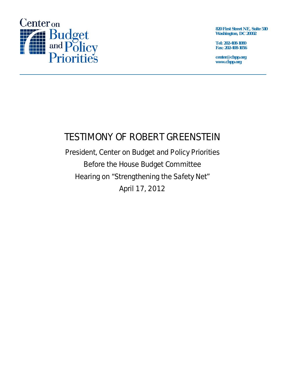

**820 First Street NE, Suite 510 Washington, DC 20002** 

**Tel: 202-408-1080 Fax: 202-408-1056** 

**center@cbpp.org www.cbpp.org** 

# TESTIMONY OF ROBERT GREENSTEIN

President, Center on Budget and Policy Priorities Before the House Budget Committee Hearing on "Strengthening the Safety Net" April 17, 2012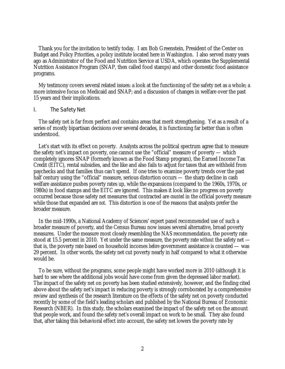Thank you for the invitation to testify today. I am Bob Greenstein, President of the Center on Budget and Policy Priorities, a policy institute located here in Washington. I also served many years ago as Administrator of the Food and Nutrition Service at USDA, which operates the Supplemental Nutrition Assistance Program (SNAP, then called food stamps) and other domestic food assistance programs.

My testimony covers several related issues: a look at the functioning of the safety net as a whole; a more intensive focus on Medicaid and SNAP; and a discussion of changes in welfare over the past 15 years and their implications.

#### I. The Safety Net

The safety net is far from perfect and contains areas that merit strengthening. Yet as a result of a series of mostly bipartisan decisions over several decades, it is functioning far better than is often understood.

Let's start with its effect on poverty. Analysts across the political spectrum agree that to measure the safety net's impact on poverty, one cannot use the "official" measure of poverty — which completely ignores SNAP (formerly known as the Food Stamp program), the Earned Income Tax Credit (EITC), rental subsidies, and the like and also fails to adjust for taxes that are withheld from paychecks and that families thus can't spend. If one tries to examine poverty trends over the past half century using the "official" measure, serious distortion occurs — the sharp decline in cash welfare assistance pushes poverty rates up, while the expansions (compared to the 1960s, 1970s, or 1980s) in food stamps and the EITC are ignored. This makes it look like no progress on poverty occurred because those safety net measures that contracted are *counted* in the official poverty measure while those that expanded are *not*. This distortion is one of the reasons that analysts prefer the broader measure.

In the mid-1990s, a National Academy of Sciences' expert panel recommended use of such a broader measure of poverty, and the Census Bureau now issues several alternative, broad poverty measures. Under the measure most closely resembling the NAS recommendation, the poverty rate stood at 15.5 percent in 2010. Yet under the same measure, the poverty rate *without* the safety net that is, the poverty rate based on household incomes *before* government assistance is counted — was 29 percent. In other words, the safety net cut poverty nearly in half compared to what it otherwise would be.

To be sure, without the programs, some people might have worked more in 2010 (although it is hard to see where the additional jobs would have come from given the depressed labor market). The impact of the safety net on poverty has been studied extensively, however, and the finding cited above about the safety net's impact in reducing poverty is strongly corroborated by a comprehensive review and synthesis of the research literature on the effects of the safety net on poverty conducted recently by some of the field's leading scholars and published by the National Bureau of Economic Research (NBER). In this study, the scholars examined the impact of the safety net on the amount that people work, and found the safety net's overall impact on work to be small. They also found that, after taking this behavioral effect into account, the safety net lowers the poverty rate by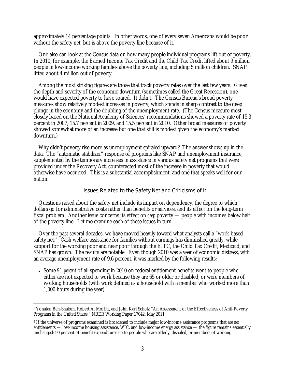approximately 14 percentage points. In other words, one of every seven Americans would be poor without the safety net, but is above the poverty line because of it.<sup>1</sup>

One also can look at the Census data on how many people individual programs lift out of poverty. In 2010, for example, the Earned Income Tax Credit and the Child Tax Credit lifted about 9 million people in low-income working families above the poverty line, including 5 million children. SNAP lifted about 4 million out of poverty.

Among the most striking figures are those that track poverty rates over the last few years. Given the depth and severity of the economic downturn (sometimes called the Great Recession), one would have expected poverty to have soared. It didn't. The Census Bureau's broad poverty measures show relatively modest increases in poverty, which stands in sharp contrast to the deep plunge in the economy and the doubling of the unemployment rate. (The Census measure most closely based on the National Academy of Sciences' recommendations showed a poverty rate of 15.3 percent in 2007, 15.7 percent in 2009, and 15.5 percent in 2010. Other broad measures of poverty showed somewhat more of an increase but one that still is modest given the economy's marked downturn.)

Why didn't poverty rise more as unemployment spiraled upward? The answer shows up in the data. The "automatic stabilizer" response of programs like SNAP and unemployment insurance, supplemented by the temporary increases in assistance in various safety net programs that were provided under the Recovery Act, counteracted most of the increase in poverty that would otherwise have occurred. This is a substantial accomplishment, and one that speaks well for our nation.

#### Issues Related to the Safety Net and Criticisms of It

Questions raised about the safety net include its impact on dependency, the degree to which dollars go for administrative costs rather than benefits or services, and its effect on the long-term fiscal problem. Another issue concerns its effect on *deep* poverty — people with incomes below half of the poverty line. Let me examine each of these issues in turn.

Over the past several decades, we have moved heavily toward what analysts call a "work-based safety net." Cash welfare assistance for families without earnings has diminished greatly, while support for the working poor and near poor through the EITC, the Child Tax Credit, Medicaid, and SNAP has grown. The results are notable. Even though 2010 was a year of economic distress, with an average unemployment rate of 9.6 percent, it was marked by the following results:

 Some *91 percent* of all spending in 2010 on federal entitlement benefits went to people who either are not expected to work because they are 65 or older or disabled, or were members of working households (with work defined as a household with a member who worked more than 1,000 hours during the year). $2$ 

 $\overline{a}$ 

<sup>1</sup> Yonatan Ben-Shalom, Robert A. Moffitt, and John Karl Scholz "An Assessment of the Effectiveness of Anti-Poverty Programs in the United States," NBER Working Paper 17042, May 2011.

<sup>2</sup> If the universe of programs examined is broadened to include major low-income assistance programs that are *not* entitlements — low-income housing assistance, WIC, and low-income energy assistance — the figure remains essentially unchanged: 90 percent of benefit expenditures go to people who are elderly, disabled, or members of working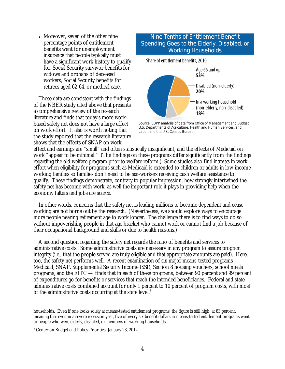• Moreover, seven of the other nine percentage points of entitlement benefits went for unemployment insurance that people typically must have a significant work history to qualify for, Social Security survivor benefits for widows and orphans of deceased workers, Social Security benefits for retirees aged 62-64, or medical care.

These data are consistent with the findings of the NBER study cited above that presents a comprehensive review of the research literature and finds that today's more workbased safety net does not have a large effect on work effort. It also is worth noting that the study reported that the research literature shows that the effects of SNAP on work

## Nine-Tenths of Entitlement Benefit Spending Goes to the Elderly, Disabled, or Working Households Share of entitlement benefits, 2010 Age 65 and up 53% Disabled (non-elderly) 20% In a working household (non-elderly, non-disabled) 18% Source: CBPP analysis of data from Office of Management and Budget, U.S. Departments of Agriculture, Health and Human Services, and Labor, and the U.S. Census Bureau.

effect and earnings are "small" and often statistically insignificant, and the effects of Medicaid on work "appear to be minimal." (The findings on these programs differ significantly from the findings regarding the old welfare program prior to welfare reform.) Some studies also find *increases* in work effort when eligibility for programs such as Medicaid is extended to children or adults in low-income working families so families don't need to be *non*-workers receiving cash welfare assistance to qualify. These findings demonstrate, contrary to popular impression, how strongly intertwined the safety net has become with work, as well the important role it plays in providing help when the economy falters and jobs are scarce.

In other words, concerns that the safety net is leading millions to become dependent and cease working are not borne out by the research. (Nevertheless, we should explore ways to encourage more people nearing retirement age to work longer. The challenge there is to find ways to do so without impoverishing people in that age bracket who cannot work or cannot find a job because of their occupational background and skills or due to health reasons.)

A second question regarding the safety net regards the ratio of benefits and services to administrative costs. Some administrative costs are necessary in any program to assure program integrity (i.e., that the people served are truly eligible and that appropriate amounts are paid). Here, too, the safety net performs well. A recent examination of six major means-tested programs — Medicaid, SNAP, Supplemental Security Income (SSI), Section 8 housing vouchers, school meals programs, and the EITC — finds that in each of these programs, between 90 percent and 99 percent of expenditures go for benefits or services that reach the intended beneficiaries. Federal and state administrative costs combined account for only 1 percent to 10 percent of program costs, with most of the administrative costs occurring at the state level.<sup>3</sup>

households. Even if one looks solely at means-tested entitlement programs, the figure is still high, at 83 percent, meaning that even in a severe recession year, five of every six benefit dollars in means-tested entitlement programs went to people who were elderly, disabled, or members of working households.

<sup>3</sup> Center on Budget and Policy Priorities, January 23, 2012.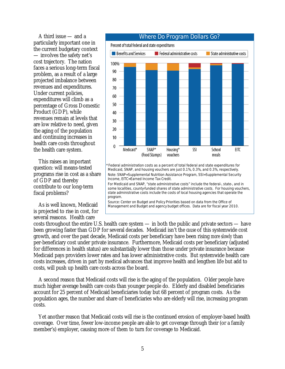A third issue — and a particularly important one in the current budgetary context — involves the safety net's cost trajectory. The nation faces a serious long-term fiscal problem, as a result of a large projected imbalance between revenues and expenditures. Under current policies, expenditures will climb as a percentage of Gross Domestic Product (GDP), while revenues remain at levels that are low relative to need, given the aging of the population and continuing increases in health care costs throughout the health care system.

This raises an important question: will means-tested programs rise in cost as a share of GDP and thereby contribute to our long-term fiscal problems?

As is well known, Medicaid is projected to rise in cost, for several reasons. Health care



Note: SNAP=Supplemental Nutrition Assistance Program, SSI=Supplemental Security Income, EITC=Earned Income Tax Credit. For Medicaid and SNAP, "state administrative costs" include the federal-, state-, and in

some localities, county-funded shares of state administrative costs. For housing vouchers, state administrative costs include the costs of local housing agencies that operate the program.

Source: Center on Budget and Policy Priorities based on data from the Office of Management and Budget and agency budget offices. Data are for fiscal year 2010.

costs throughout the entire U.S. health care system — in both the public and private sectors — have been growing faster than GDP for several decades. Medicaid isn't the *cause* of this systemwide cost growth, and over the past decade, Medicaid costs per beneficiary have been rising *more slowly* than per-beneficiary cost under private insurance. Furthermore, Medicaid costs per beneficiary (adjusted for differences in health status) are substantially lower than those under private insurance because Medicaid pays providers lower rates and has lower administrative costs. But systemwide health care costs increases, driven in part by medical advances that improve health and lengthen life but add to costs, will push up health care costs across the board.

A second reason that Medicaid costs will rise is the aging of the population. Older people have much higher average health care costs than younger people do. Elderly and disabled beneficiaries account for 25 percent of Medicaid beneficiaries today but 68 percent of program costs. As the population ages, the number and share of beneficiaries who are elderly will rise, increasing program costs.

Yet another reason that Medicaid costs will rise is the continued erosion of employer-based health coverage. Over time, fewer low-income people are able to get coverage through their (or a family member's) employer, causing more of them to turn for coverage to Medicaid.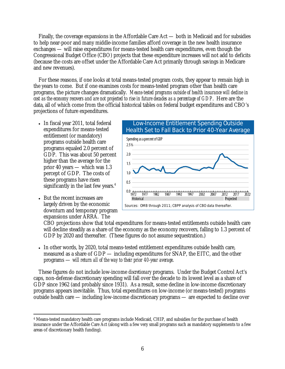Finally, the coverage expansions in the Affordable Care Act — both in Medicaid and for subsidies to help near-poor and many middle-income families afford coverage in the new health insurance exchanges — will raise expenditures for means-tested health care expenditures, even though the Congressional Budget Office (CBO) projects that these expenditure increases will not add to deficits (because the costs are offset under the Affordable Care Act primarily through savings in Medicare and new revenues).

For these reasons, if one looks at total means-tested program costs, they appear to remain high in the years to come. But if one examines costs for means-tested program other than health care programs, the picture changes dramatically. *Means-tested programs outside of health insurance will decline in cost as the economy recovers and are not projected to rise in future decades as a percentage of GDP*. Here are the data, all of which come from the official historical tables on federal budget expenditures and CBO's projections of future expenditures.

- In fiscal year 2011, total federal expenditures for means-tested entitlement (or mandatory) programs outside health care programs equaled 2.0 percent of GDP. This was about 50 percent higher than the average for the prior 40 years — which was 1.3 percept of GDP. The costs of these programs have risen significantly in the last few years. $4$
- But the recent increases are largely driven by the economic downturn and temporary program expansions under ARRA. The



CBO projections show that total expenditures for means-tested entitlements outside health care will decline steadily as a share of the economy as the economy recovers, falling to 1.3 percent of GDP by 2020 and thereafter. (These figures do not assume sequestration.)

 In other words, by 2020, total means-tested entitlement expenditures outside health care, measured as a share of GDP — including expenditures for SNAP, the EITC, and the other programs — *will return all of the way to their prior 40-year average*.

These figures do not include low-income *discretionary* programs. Under the Budget Control Act's caps, non-defense discretionary spending will fall over the decade to its lowest level as a share of GDP since 1962 (and probably since 1931). As a result, some decline in low-income discretionary programs appears inevitable. Thus, total expenditures on low-income (or means-tested) programs outside health care — including low-income discretionary programs — are expected to decline over

<sup>-</sup>4 Means-tested mandatory health care programs include Medicaid, CHIP, and subsidies for the purchase of health insurance under the Affordable Care Act (along with a few very small programs such as mandatory supplements to a few areas of discretionary health funding).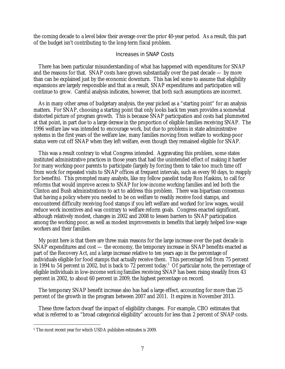the coming decade to a level *below* their average over the prior 40-year period. As a result, this part of the budget isn't contributing to the long-term fiscal problem.

#### Increases in SNAP Costs

There has been particular misunderstanding of what has happened with expenditures for SNAP and the reasons for that. SNAP costs have grown substantially over the past decade — by more than can be explained just by the economic downturn. This has led some to assume that eligibility expansions are largely responsible and that as a result, SNAP expenditures and participation will continue to grow. Careful analysis indicates, however, that both such assumptions are incorrect.

As in many other areas of budgetary analysis, the year picked as a "starting point" for an analysis matters. For SNAP, choosing a starting point that only looks back ten years provides a somewhat distorted picture of program growth. This is because SNAP participation and costs had plummeted at that point, in part due to a large *decrease* in the proportion of eligible families receiving SNAP. The 1996 welfare law was intended to encourage work, but due to problems in state administrative systems in the first years of the welfare law, many families moving from welfare to working-poor status were cut off SNAP when they left welfare, even though they remained eligible for SNAP.

This was a result contrary to what Congress intended. Aggravating this problem, some states instituted administrative practices in those years that had the unintended effect of making it harder for many working-poor parents to participate (largely by forcing them to take too much time off from work for repeated visits to SNAP offices at frequent intervals, such as every 90 days, to reapply for benefits). This prompted many analysts, like my fellow panelist today Ron Haskins, to call for reforms that would improve access to SNAP for low-income working families and led both the Clinton and Bush administrations to act to address this problem. There was bipartisan consensus that having a policy where you needed to be on welfare to readily receive food stamps, and encountered difficulty receiving food stamps if you left welfare and worked for low wages, would reduce work incentives and was contrary to welfare reform goals. Congress enacted significant, although relatively modest, changes in 2002 and 2008 to lessen barriers to SNAP participation among the working poor, as well as modest improvements in benefits that largely helped low-wage workers and their families.

My point here is that there are three main reasons for the large increase over the past decade in SNAP expenditures and cost — the economy, the temporary increase in SNAP benefits enacted as part of the Recovery Act, *and* a large increase relative to ten years ago in the percentage of individuals eligible for food stamps that actually receive them. This percentage fell from 75 percent in 1994 to 54 percent in 2002, but is back to 72 percent today.<sup>5</sup> Of particular note, the percentage of eligible individuals in low-income *working* families receiving SNAP has been rising steadily from 43 percent in 2002, to about 60 percent in 2009, the highest percentage on record.

The temporary SNAP benefit increase also has had a large effect, accounting for more than 25 percent of the growth in the program between 2007 and 2011. It expires in November 2013.

These three factors dwarf the impact of eligibility changes. For example, CBO estimates that what is referred to as "broad categorical eligibility" accounts for less than 2 percent of SNAP costs.

-

<sup>5</sup> The most recent year for which USDA publishes estimates is 2009.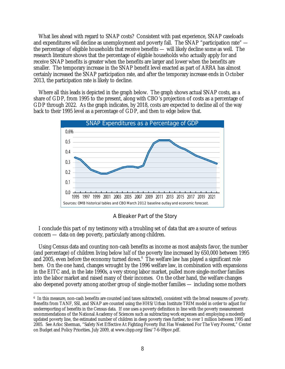What lies ahead with regard to SNAP costs? Consistent with past experience, SNAP caseloads and expenditures will decline as unemployment and poverty fall. The SNAP "participation rate" the percentage of eligible households that receive benefits — will likely decline some as well. The research literature shows that the percentage of eligible households who actually apply for and receive SNAP benefits is greater when the benefits are larger and lower when the benefits are smaller. The temporary increase in the SNAP benefit level enacted as part of ARRA has almost certainly increased the SNAP participation rate, and after the temporary increase ends in October 2013, the participation rate is likely to decline.

Where all this leads is depicted in the graph below. The graph shows actual SNAP costs, as a share of GDP, from 1995 to the present, along with CBO's projection of costs as a percentage of GDP through 2022. As the graph indicates, by 2018, costs are expected to decline all of the way back to their 1995 level as a percentage of GDP, and then to edge below that.



A Bleaker Part of the Story

I conclude this part of my testimony with a troubling set of data that are a source of serious concern — data on *deep* poverty, particularly among children.

Using Census data and counting non-cash benefits as income as most analysts favor, the number (and percentage) of children living below *half* of the poverty line increased by 650,000 between 1995 and 2005, even before the economy turned down. $6$  The welfare law has played a significant role here. On the one hand, changes wrought by the 1996 welfare law, in combination with expansions in the EITC and, in the late 1990s, a very strong labor market, pulled more single-mother families into the labor market and raised many of their incomes. On the other hand, the welfare changes also deepened poverty among another group of single-mother families — including some mothers

 $\overline{a}$ 

<sup>6</sup> In this measure, non-cash benefits are counted (and taxes subtracted), consistent with the broad measures of poverty. Benefits from TANF, SSI, and SNAP are counted using the HHS/Urban Institute TRIM model in order to adjust for underreporting of benefits in the Census data. If one uses a poverty definition in line with the poverty measurement recommendations of the National Academy of Sciences such as subtracting work expenses and employing a modestly updated poverty line, the estimated number of children in deep poverty rises further, to over 1 million between 1995 and 2005. See Arloc Sherman, "Safety Net Effective At Fighting Poverty But Has Weakened For The Very Poorest," Center on Budget and Policy Priorities, July 2009, at www.cbpp.org/files/7-6-09pov.pdf.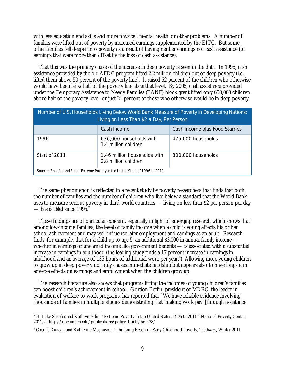with less education and skills and more physical, mental health, or other problems. A number of families were lifted out of poverty by increased earnings supplemented by the EITC. But some other families fell deeper into poverty as a result of having neither earnings nor cash assistance (or earnings that were more than offset by the loss of cash assistance).

That this was the primary cause of the increase in deep poverty is seen in the data. In 1995, cash assistance provided by the old AFDC program lifted 2.2 million children out of deep poverty (i.e., lifted them above 50 percent of the poverty line). It raised 62 percent of the children who otherwise would have been *below* half of the poverty line *above* that level. By 2005, cash assistance provided under the Temporary Assistance to Needy Families (TANF) block grant lifted only 650,000 children above half of the poverty level, or just 21 percent of those who otherwise would be in deep poverty.

| Number of U.S. Households Living Below World Bank Measure of Poverty in Developing Nations:<br>Living on Less Than \$2 a Day, Per Person |                                                      |                              |
|------------------------------------------------------------------------------------------------------------------------------------------|------------------------------------------------------|------------------------------|
|                                                                                                                                          | Cash Income                                          | Cash Income plus Food Stamps |
| 1996                                                                                                                                     | 636,000 households with<br>1.4 million children      | 475,000 households           |
| Start of 2011                                                                                                                            | 1.46 million households with<br>2.8 million children | 800,000 households           |
| Source: Shaefer and Edin, "Extreme Poverty in the United States," 1996 to 2011.                                                          |                                                      |                              |

The same phenomenon is reflected in a recent study by poverty researchers that finds that both the number of families and the number of children who live below a standard that the World Bank uses to measure serious poverty in third-world countries — living on less than \$2 per person per day — has *doubled* since 1995.7

These findings are of particular concern, especially in light of emerging research which shows that among low-income families, the level of family income when a child is young affects his or her school achievement and may well influence later employment and earnings as an adult. Research finds, for example, that for a child up to age 5, an additional \$3,000 in annual family income whether in earnings or unearned income like government benefits — is associated with a substantial increase in earnings in adulthood (the leading study finds a 17 percent increase in earnings in adulthood and an average of 135 hours of additional work per year.<sup>8</sup>) Allowing more young children to grow up in deep poverty not only causes immediate hardship but appears also to have long-term adverse effects on earnings and employment when the children grow up.

The research literature also shows that programs lifting the incomes of young children's families can boost children's achievement in school. Gordon Berlin, president of MDRC, the leader in evaluation of welfare-to-work programs, has reported that "We have reliable evidence involving thousands of families in multiple studies demonstrating that 'making work pay' [through assistance

 $\overline{a}$ 7 H. Luke Shaefer and Kathryn Edin, "Extreme Poverty in the United States, 1996 to 2011," National Poverty Center, 2012, at http://npc.umich.edu/publications/policy\_briefs/brief28/

<sup>8</sup> Greg J. Duncan and Katherine Magnuson, "The Long Reach of Early Childhood Poverty," *Pathways*, Winter 2011.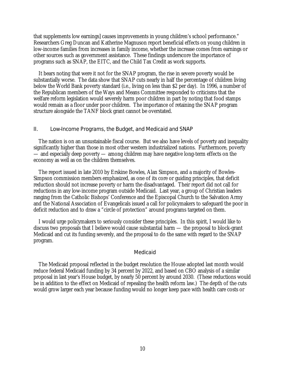that supplements low earnings] causes improvements in young children's school performance." Researchers Greg Duncan and Katherine Magnuson report beneficial effects on young children in low-income families from increases in family income, whether the increase comes from earnings or other sources such as government assistance. These findings underscore the importance of programs such as SNAP, the EITC, and the Child Tax Credit as work supports.

It bears noting that were it not for the SNAP program, the rise in severe poverty would be substantially worse. The data show that SNAP cuts nearly in half the percentage of children living below the World Bank poverty standard (i.e., living on less than \$2 per day). In 1996, a number of the Republican members of the Ways and Means Committee responded to criticisms that the welfare reform legislation would severely harm poor children in part by noting that food stamps would remain as a floor under poor children. The importance of retaining the SNAP program structure alongside the TANF block grant cannot be overstated.

#### II. Low-Income Programs, the Budget, and Medicaid and SNAP

The nation is on an unsustainable fiscal course. But we also have levels of poverty and inequality significantly higher than those in most other western industrialized nations. Furthermore, poverty — and especially deep poverty — among children may have negative long-term effects on the economy as well as on the children themselves.

The report issued in late 2010 by Erskine Bowles, Alan Simpson, and a majority of Bowles-Simpson commission members emphasized, as one of its core or guiding principles, that deficit reduction should not increase poverty or harm the disadvantaged. Their report did not call for reductions in any low-income program outside Medicaid. Last year, a group of Christian leaders ranging from the Catholic Bishops' Conference and the Episcopal Church to the Salvation Army and the National Association of Evangelicals issued a call for policymakers to safeguard the poor in deficit reduction and to draw a "circle of protection" around programs targeted on them.

I would urge policymakers to seriously consider these principles. In this spirit, I would like to discuss two proposals that I believe would cause substantial harm — the proposal to block-grant Medicaid and cut its funding severely, and the proposal to do the same with regard to the SNAP program.

#### Medicaid

The Medicaid proposal reflected in the budget resolution the House adopted last month would reduce federal Medicaid funding by 34 percent by 2022, and based on CBO analysis of a similar proposal in last year's House budget, by nearly 50 percent by around 2030. (These reductions would be in addition to the effect on Medicaid of repealing the health reform law.) The depth of the cuts would grow larger each year because funding would no longer keep pace with health care costs or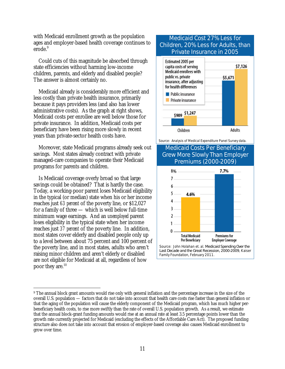with Medicaid enrollment growth as the population ages and employer-based health coverage continues to erode.<sup>9</sup>

Could cuts of this magnitude be absorbed through state efficiencies without harming low-income children, parents, and elderly and disabled people? The answer is almost certainly no.

Medicaid already is considerably more efficient and less costly than private health insurance, primarily because it pays providers less (and also has lower administrative costs). As the graph at right shows, Medicaid costs per enrollee are well below those for private insurance. In addition, Medicaid costs per beneficiary have been rising more slowly in recent years than private-sector health costs have.

Moreover, state Medicaid programs already seek out savings. Most states already contract with private managed-care companies to operate their Medicaid programs for parents and children.

Is Medicaid coverage overly broad so that large savings could be obtained? That is hardly the case. Today, a working-poor parent loses Medicaid eligibility in the typical (or median) state when his or her income reaches just *63 percent* of the poverty line, or \$12,027 for a family of three — which is well below full-time minimum wage earnings. And an *unemployed* parent loses eligibility in the typical state when her income reaches just *37 percent* of the poverty line. In addition, most states cover elderly and disabled people only up to a level between about 75 percent and 100 percent of the poverty line, and in most states, adults who aren't raising minor children and aren't elderly or disabled are not eligible for Medicaid at all, regardless of how poor they are. $^{10}$ 

## Medicaid Cost 27% Less for Children, 20% Less for Adults, than Private Insurance in 2005



Source: Analysis of Medical Expenditure Panel Survey data.

### Medicaid Costs Per Beneficiary Grew More Slowly Than Employer Premiums (2000-2009)



 $\overline{a}$ 9 The annual block grant amounts would rise only with general inflation and the percentage increase in the size of the overall U.S. population — factors that do not take into account that health care costs rise faster than general inflation or that the aging of the population will cause the elderly component of the Medicaid program, which has much higher perbeneficiary health costs, to rise more swiftly than the rate of overall U.S. population growth. As a result, we estimate that the annual block-grant funding amounts would rise at an annual rate at least 3.5 percentage points lower than the growth rate currently projected for Medicaid (excluding the effects of the Affordable Care Act). The proposed funding structure also does not take into account that erosion of employer-based coverage also causes Medicaid enrollment to grow over time.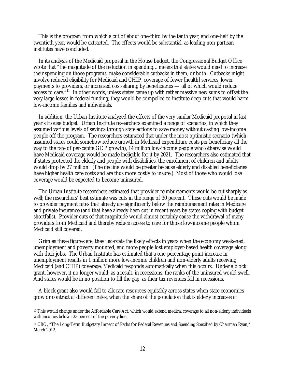This is the program from which a cut of about one-third by the tenth year, and one-half by the twentieth year, would be extracted. The effects would be substantial, as leading non-partisan institutes have concluded.

In its analysis of the Medicaid proposal in the House budget, the Congressional Budget Office wrote that "the magnitude of the reduction in spending…means that states would need to increase their spending on those programs, make considerable cutbacks in them, or both. Cutbacks might involve reduced eligibility for Medicaid and CHIP, coverage of fewer [health] services, lower payments to providers, or increased cost-sharing by beneficiaries — all of which would reduce access to care."11 In other words, unless states came up with rather massive new sums to offset the very large losses in federal funding, they would be compelled to institute deep cuts that would harm low-income families and individuals.

In addition, the Urban Institute analyzed the effects of the very similar Medicaid proposal in last year's House budget. Urban Institute researchers examined a range of scenarios, in which they assumed various levels of savings through state actions to save money without casting low-income people off the program. The researchers estimated that under the most optimistic scenario (which assumed states could somehow reduce growth in Medicaid expenditure costs per beneficiary all the way to the rate of per-capita GDP growth), 14 million low-income people who otherwise would have Medicaid coverage would be made ineligible for it by 2021. The researchers also estimated that if states protected the elderly and people with disabilities, the enrollment of children and adults would drop by 27 million. (The decline would be greater because elderly and disabled beneficiaries have higher health care costs and are thus more costly to insure.) Most of those who would lose coverage would be expected to become uninsured.

The Urban Institute researchers estimated that provider reimbursements would be cut sharply as well; the researchers' best estimate was cuts in the range of 30 percent. These cuts would be made to provider payment rates that already are significantly below the reimbursement rates in Medicare and private insurance (and that have already been cut in recent years by states coping with budget shortfalls). Provider cuts of that magnitude would almost certainly cause the withdrawal of many providers from Medicaid and thereby reduce access to care for those low-income people whom Medicaid still covered.

Grim as these figures are, they *understate* the likely effects in years when the economy weakened, unemployment and poverty mounted, and more people lost employer-based health coverage along with their jobs. The Urban Institute has estimated that a one-percentage point increase in unemployment results in 1 million more low-income children and non-elderly adults receiving Medicaid (and CHIP) coverage; Medicaid responds automatically when this occurs. Under a block grant, however, it no longer would; as a result, in recessions, the ranks of the uninsured would swell. And states would be in no position to fill the gap, as their tax revenues fall in recessions.

A block grant also would fail to allocate resources equitably across states when state economies grow or contract at different rates, when the share of the population that is elderly increases at

<sup>&</sup>lt;sup>10</sup> This would change under the Affordable Care Act, which would extend medical coverage to all non-elderly individuals with incomes below 133 percent of the poverty line.

<sup>11</sup> CBO, "The Long-Term Budgetary Impact of Paths for Federal Revenues and Spending Specified by Chairman Ryan," March 2012.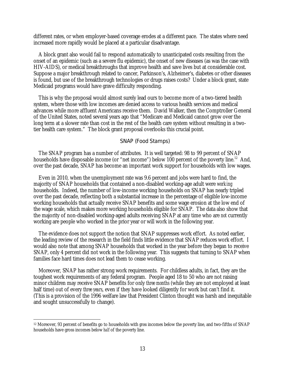different rates, or when employer-based coverage erodes at a different pace. The states where need increased more rapidly would be placed at a particular disadvantage.

A block grant also would fail to respond automatically to unanticipated costs resulting from the onset of an epidemic (such as a severe flu epidemic), the onset of new diseases (as was the case with HIV-AIDS), or medical breakthroughs that improve health and save lives but at considerable cost. Suppose a major breakthrough related to cancer, Parkinson's, Alzheimer's, diabetes or other diseases is found, but use of the breakthrough technologies or drugs raises costs? Under a block grant, state Medicaid programs would have grave difficulty responding.

This is why the proposal would almost surely lead ours to become more of a two-tiered health system, where those with low incomes are denied access to various health services and medical advances while more affluent Americans receive them. David Walker, then the Comptroller General of the United States, noted several years ago that "Medicare and Medicaid cannot grow over the long term at a slower rate than cost in the rest of the health care system without resulting in a twotier health care system." The block grant proposal overlooks this crucial point.

#### SNAP (Food Stamps)

The SNAP program has a number of attributes. It is well targeted: 98 to 99 percent of SNAP households have disposable income (or "net income") below 100 percent of the poverty line.<sup>12</sup> And, over the past decade, SNAP has become an important work support for households with low wages.

Even in 2010, when the unemployment rate was 9.6 percent and jobs were hard to find, the majority of SNAP households that contained a non-disabled working-age adult were *working* households. Indeed, the number of low-income working households on SNAP has nearly tripled over the past decade, reflecting both a substantial increase in the percentage of eligible low-income working households that actually receive SNAP benefits and some wage erosion at the low end of the wage scale, which makes more working households eligible for SNAP. The data also show that the majority of non-disabled working-aged adults receiving SNAP at any time who are *not* currently working are people who worked in the prior year or will work in the following year.

The evidence does not support the notion that SNAP suppresses work effort. As noted earlier, the leading review of the research in the field finds little evidence that SNAP reduces work effort. I would also note that among SNAP households that worked in the year before they began to receive SNAP, only 4 percent did not work in the following year. This suggests that turning to SNAP when families face hard times does not lead them to cease working.

Moreover, SNAP has rather strong work requirements. For childless adults, in fact, they are the toughest work requirements of any federal program. People aged 18 to 50 who are not raising minor children may receive SNAP benefits for only *three months* (while they are not employed at least half time) out of every *three years*, even if they have looked diligently for work but can't find it. (This is a provision of the 1996 welfare law that President Clinton thought was harsh and inequitable and sought unsuccessfully to change).

-

<sup>12</sup> Moreover, 93 percent of benefits go to households with *gross* incomes below the poverty line, and two-fifths of SNAP households have gross incomes below *half* of the poverty line.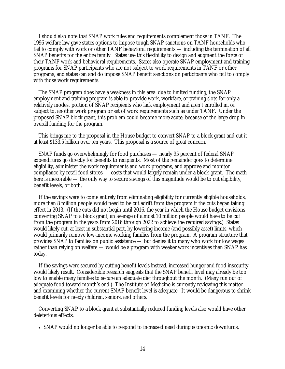I should also note that SNAP work rules and requirements complement those in TANF. The 1996 welfare law gave states options to impose tough SNAP sanctions on TANF households who fail to comply with work or other TANF behavioral requirements — including the termination of all SNAP benefits for the entire family. States use this flexibility to design and augment the force of their TANF work and behavioral requirements. States also operate SNAP employment and training programs for SNAP participants who are not subject to work requirements in TANF or other programs, and states can and do impose SNAP benefit sanctions on participants who fail to comply with those work requirements.

The SNAP program does have a weakness in this area: due to limited funding, the SNAP employment and training program is able to provide work, workfare, or training slots for only a relatively modest portion of SNAP recipients who lack employment and aren't enrolled in, or subject to, another work program or set of work requirements such as under TANF. Under the proposed SNAP block grant, this problem could become more acute, because of the large drop in overall funding for the program.

This brings me to the proposal in the House budget to convert SNAP to a block grant and cut it at least \$133.5 billion over ten years. This proposal is a source of great concern.

SNAP funds go overwhelmingly for food purchases — nearly 95 percent of federal SNAP expenditures go directly for benefits to recipients. Most of the remainder goes to determine eligibility, administer the work requirements and work programs, and approve and monitor compliance by retail food stores — costs that would largely remain under a block-grant. The math here is inexorable — the only way to secure savings of this magnitude would be to cut eligibility, benefit levels, or both.

If the savings were to come entirely from eliminating eligibility for currently eligible households, more than 8 million people would need to be cut adrift from the program if the cuts began taking effect in 2013. (If the cuts did not begin until 2016, the year in which the House budget envisions converting SNAP to a block grant, an average of almost 10 million people would have to be cut from the program in the years from 2016 through 2022 to achieve the required savings.) States would likely cut, at least in substantial part, by lowering income (and possibly asset) limits, which would primarily remove low-income working families from the program. A program structure that provides SNAP to families on public assistance — but denies it to many who work for low wages rather than relying on welfare — would be a program with weaker work incentives than SNAP has today.

If the savings were secured by cutting benefit levels instead, increased hunger and food insecurity would likely result. Considerable research suggests that the SNAP benefit level may already be too low to enable many families to secure an adequate diet throughout the month. (Many run out of adequate food toward month's end.) The Institute of Medicine is currently reviewing this matter and examining whether the current SNAP benefit level is adequate. It would be dangerous to shrink benefit levels for needy children, seniors, and others.

Converting SNAP to a block grant at substantially reduced funding levels also would have other deleterious effects.

SNAP would no longer be able to respond to increased need during economic downturns,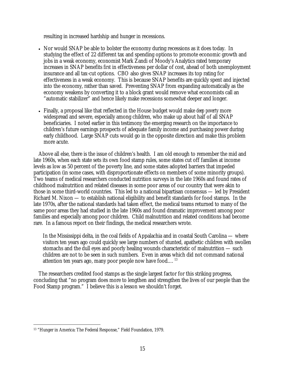resulting in increased hardship and hunger in recessions.

- Nor would SNAP be able to bolster the economy during recessions as it does today. In studying the effect of 22 different tax and spending options to promote economic growth and jobs in a weak economy, economist Mark Zandi of Moody's Analytics rated temporary increases in SNAP benefits *first* in effectiveness per dollar of cost, ahead of both unemployment insurance and all tax-cut options. CBO also gives SNAP increases its top rating for effectiveness in a weak economy. This is because SNAP benefits are quickly spent and injected into the economy, rather than saved. Preventing SNAP from expanding automatically as the economy weakens by converting it to a block grant would remove what economists call an "automatic stabilizer" and hence likely make recessions somewhat deeper and longer.
- Finally, a proposal like that reflected in the House budget would make *deep poverty* more widespread and severe, especially among children, who make up about half of all SNAP beneficiaries. I noted earlier in this testimony the emerging research on the importance to children's future earnings prospects of adequate family income and purchasing power during early childhood. Large SNAP cuts would go in the opposite direction and make this problem more acute.

Above all else, there is the issue of children's health. I am old enough to remember the mid and late 1960s, when each state sets its own food stamp rules, some states cut off families at income levels as low as 50 percent of the poverty line, and some states adopted barriers that impeded participation (in some cases, with disproportionate effects on members of some minority groups). Two teams of medical researchers conducted nutrition surveys in the late 1960s and found rates of childhood malnutrition and related diseases in some poor areas of our country that were akin to those in some third-world countries. This led to a national bipartisan consensus — led by President Richard M. Nixon — to establish national eligibility and benefit standards for food stamps. In the late 1970s, after the national standards had taken effect, the medical teams returned to many of the same poor areas they had studied in the late 1960s and found dramatic improvement among poor families and especially among poor children. Child malnutrition and related conditions had become rare. In a famous report on their findings, the medical researchers wrote.

In the Mississippi delta, in the coal fields of Appalachia and in coastal South Carolina — where visitors ten years ago could quickly see large numbers of stunted, apathetic children with swollen stomachs and the dull eyes and poorly healing wounds characteristic of malnutrition — such children are not to be seen in such numbers. Even in areas which did not command national attention ten years ago, many poor people now have food....<sup>13</sup>

The researchers credited food stamps as the single largest factor for this striking progress, concluding that "no program does more to lengthen and strengthen the lives of our people than the Food Stamp program." I believe this is a lesson we shouldn't forget.

 $\overline{a}$ 13 "Hunger in America: The Federal Response," Field Foundation, 1979.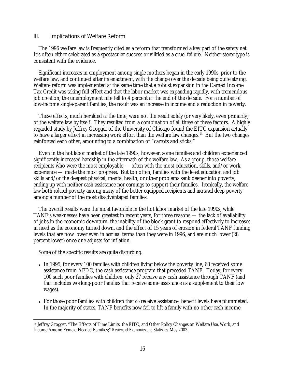#### III. Implications of Welfare Reform

The 1996 welfare law is frequently cited as a reform that transformed a key part of the safety net. It's often either celebrated as a spectacular success or vilified as a cruel failure. Neither stereotype is consistent with the evidence.

Significant increases in employment among single mothers began in the early 1990s, prior to the welfare law, and continued after its enactment, with the change over the decade being quite strong. Welfare reform was implemented at the same time that a robust expansion in the Earned Income Tax Credit was taking full effect and that the labor market was expanding rapidly, with tremendous job creation; the unemployment rate fell to 4 percent at the end of the decade. For a number of low-income single-parent families, the result was an increase in income and a reduction in poverty.

These effects, much heralded at the time, were not the result solely (or very likely, even primarily) of the welfare law by itself. They resulted from a combination of all three of these factors. A highly regarded study by Jeffrey Grogger of the University of Chicago found the EITC expansion actually to have a larger effect in increasing work effort than the welfare law changes.<sup>14</sup> But the two changes reinforced each other, amounting to a combination of "carrots and sticks."

Even in the hot labor market of the late 1990s, however, some families and children experienced significantly increased hardship in the aftermath of the welfare law. As a group, those welfare recipients who were the most employable — often with the most education, skills, and/or work experience — made the most progress. But too often, families with the least education and job skills and/or the deepest physical, mental health, or other problems sank deeper into poverty, ending up with neither cash assistance nor earnings to support their families. Ironically, the welfare law both *reduced* poverty among many of the better equipped recipients and *increased* deep poverty among a number of the most disadvantaged families.

The overall results were the most favorable in the hot labor market of the late 1990s, while TANF's weaknesses have been greatest in recent years, for three reasons — the lack of availability of jobs in the economic downturn, the inability of the block grant to respond effectively to increases in need as the economy turned down, and the effect of 15 years of erosion in federal TANF funding levels that are now lower even in *nominal* terms than they were in 1996, and are much lower (28 percent lower) once one adjusts for inflation.

Some of the specific results are quite disturbing.

- In 1995, for every 100 families with children living below the poverty line, 68 received some assistance from AFDC, the cash assistance program that preceded TANF. Today, for every 100 such poor families with children, only 27 receive any cash assistance through TANF (and that includes working-poor families that receive some assistance as a supplement to their low wages).
- For those poor families with children that *do* receive assistance, benefit levels have plummeted. In the majority of states, TANF benefits now fail to lift a family with no other cash income

 $\overline{a}$ 14 Jeffrey Grogger, "The Effects of Time Limits, the EITC, and Other Policy Changes on Welfare Use, Work, and Income Among Female-Headed Families;" *Reviews of Economics and Statistics,* May 2003.